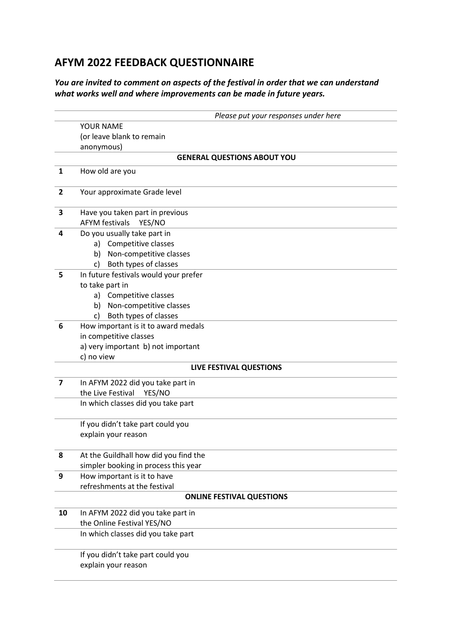## **AFYM 2022 FEEDBACK QUESTIONNAIRE**

## *You are invited to comment on aspects of the festival in order that we can understand what works well and where improvements can be made in future years.*

|                | Please put your responses under here                               |  |  |  |
|----------------|--------------------------------------------------------------------|--|--|--|
|                | YOUR NAME                                                          |  |  |  |
|                | (or leave blank to remain                                          |  |  |  |
|                | anonymous)                                                         |  |  |  |
|                | <b>GENERAL QUESTIONS ABOUT YOU</b>                                 |  |  |  |
| 1              | How old are you                                                    |  |  |  |
|                |                                                                    |  |  |  |
| $\overline{2}$ | Your approximate Grade level                                       |  |  |  |
|                |                                                                    |  |  |  |
| 3              | Have you taken part in previous<br><b>AFYM festivals</b><br>YES/NO |  |  |  |
| 4              | Do you usually take part in                                        |  |  |  |
|                | Competitive classes<br>a)                                          |  |  |  |
|                | b) Non-competitive classes                                         |  |  |  |
|                | Both types of classes<br>c)                                        |  |  |  |
| 5              | In future festivals would your prefer                              |  |  |  |
|                | to take part in                                                    |  |  |  |
|                | a) Competitive classes                                             |  |  |  |
|                | b) Non-competitive classes                                         |  |  |  |
|                | Both types of classes<br>c)                                        |  |  |  |
| 6              | How important is it to award medals                                |  |  |  |
|                | in competitive classes                                             |  |  |  |
|                | a) very important b) not important                                 |  |  |  |
|                | c) no view                                                         |  |  |  |
|                | LIVE FESTIVAL QUESTIONS                                            |  |  |  |
| $\overline{7}$ | In AFYM 2022 did you take part in                                  |  |  |  |
|                | the Live Festival<br>YES/NO                                        |  |  |  |
|                | In which classes did you take part                                 |  |  |  |
|                |                                                                    |  |  |  |
|                | If you didn't take part could you<br>explain your reason           |  |  |  |
|                |                                                                    |  |  |  |
| 8              | At the Guildhall how did you find the                              |  |  |  |
|                | simpler booking in process this year                               |  |  |  |
| 9              | How important is it to have                                        |  |  |  |
|                | refreshments at the festival                                       |  |  |  |
|                | <b>ONLINE FESTIVAL QUESTIONS</b>                                   |  |  |  |
| 10             | In AFYM 2022 did you take part in                                  |  |  |  |
|                | the Online Festival YES/NO                                         |  |  |  |
|                | In which classes did you take part                                 |  |  |  |
|                | If you didn't take part could you                                  |  |  |  |
|                | explain your reason                                                |  |  |  |